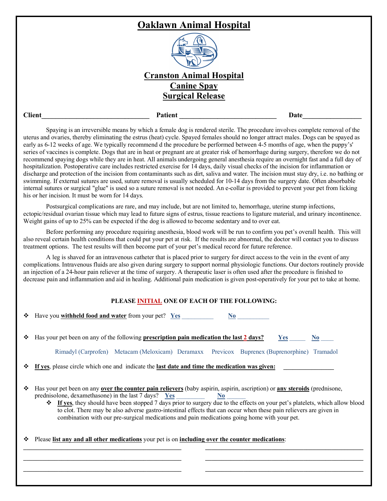| . <del></del>                   |               |
|---------------------------------|---------------|
|                                 |               |
| <b>Cranston Animal Hospital</b> |               |
| <b>Canine Spay</b>              |               |
| <b>Surgical Release</b>         |               |
| Patient<br>Date                 | <b>Client</b> |

Spaying is an irreversible means by which a female dog is rendered sterile. The procedure involves complete removal of the uterus and ovaries, thereby eliminating the estrus (heat) cycle. Spayed females should no longer attract males. Dogs can be spayed as early as 6-12 weeks of age. We typically recommend d the procedure be performed between 4-5 months of age, when the puppy's' series of vaccines is complete. Dogs that are in heat or pregnant are at greater risk of hemorrhage during surgery, therefore we do not recommend spaying dogs while they are in heat. All animals undergoing general anesthesia require an overnight fast and a full day of hospitalization. Postoperative care includes restricted exercise for 14 days, daily visual checks of the incision for inflammation or discharge and protection of the incision from contaminants such as dirt, saliva and water. The incision must stay dry, i.e. no bathing or swimming. If external sutures are used, suture removal is usually scheduled for 10-14 days from the surgery date. Often absorbable internal sutures or surgical "glue" is used so a suture removal is not needed. An e-collar is provided to prevent your pet from licking his or her incision. It must be worn for 14 days.

Postsurgical complications are rare, and may include, but are not limited to, hemorrhage, uterine stump infections, ectopic/residual ovarian tissue which may lead to future signs of estrus, tissue reactions to ligature material, and urinary incontinence. Weight gains of up to 25% can be expected if the dog is allowed to become sedentary and to over eat.

Before performing any procedure requiring anesthesia, blood work will be run to confirm you pet's overall health. This will also reveal certain health conditions that could put your pet at risk. If the results are abnormal, the doctor will contact you to discuss treatment options. The test results will then become part of your pet's medical record for future reference.

A leg is shaved for an intravenous catheter that is placed prior to surgery for direct access to the vein in the event of any complications. Intravenous fluids are also given during surgery to support normal physiologic functions. Our doctors routinely provide an injection of a 24-hour pain reliever at the time of surgery. A therapeutic laser is often used after the procedure is finished to decrease pain and inflammation and aid in healing. Additional pain medication is given post-operatively for your pet to take at home.

## **PLEASE INITIAL ONE OF EACH OF THE FOLLOWING:**

| ❖ | Have you withheld food and water from your pet? Yes<br>No.                                                                                                                                                                                                                                                                                                                                                                                                                                                                                                         |  |  |  |  |
|---|--------------------------------------------------------------------------------------------------------------------------------------------------------------------------------------------------------------------------------------------------------------------------------------------------------------------------------------------------------------------------------------------------------------------------------------------------------------------------------------------------------------------------------------------------------------------|--|--|--|--|
|   | Has your pet been on any of the following prescription pain medication the last 2 days?<br>Yes<br>No.<br>Rimadyl (Carprofen) Metacam (Meloxicam) Deramaxx Previcox Buprenex (Buprenorphine) Tramadol                                                                                                                                                                                                                                                                                                                                                               |  |  |  |  |
|   | If yes, please circle which one and indicate the last date and time the medication was given:                                                                                                                                                                                                                                                                                                                                                                                                                                                                      |  |  |  |  |
| ❖ | Has your pet been on any over the counter pain relievers (baby aspirin, aspirin, ascription) or any steroids (prednisone,<br>prednisolone, dexamethasone) in the last 7 days? Yes<br>N <sub>0</sub><br><b> ↑</b> If yes, they should have been stopped 7 days prior to surgery due to the effects on your pet's platelets, which allow blood<br>to clot. There may be also adverse gastro-intestinal effects that can occur when these pain relievers are given in<br>combination with our pre-surgical medications and pain medications going home with your pet. |  |  |  |  |
| ❖ | Please list any and all other medications your pet is on including over the counter medications:                                                                                                                                                                                                                                                                                                                                                                                                                                                                   |  |  |  |  |
|   |                                                                                                                                                                                                                                                                                                                                                                                                                                                                                                                                                                    |  |  |  |  |
|   |                                                                                                                                                                                                                                                                                                                                                                                                                                                                                                                                                                    |  |  |  |  |